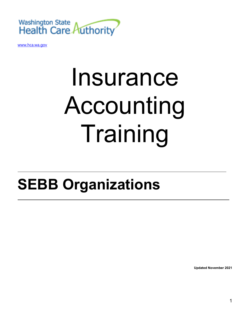

[www.hca.wa.gov](http://www.hca.wa.gov/)

# Insurance Accounting Training

## **SEBB Organizations**

**Updated November 2021**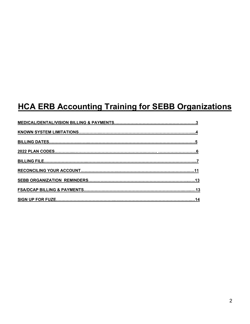### **HCA ERB Accounting Training for SEBB Organizations**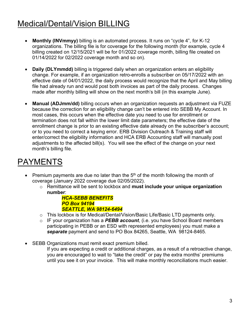### Medical/Dental/Vision BILLING

- **Monthly (INVmmyy)** billing is an automated process. It runs on "cycle 4", for K-12 organizations. The billing file is for coverage for the following month (for example, cycle 4 billing created on 12/15/2021 will be for 01/2022 coverage month, billing file created on 01/14/2022 for 02/2022 coverage month and so on).
- **Daily (DLYmmdd)** billing is triggered daily when an organization enters an eligibility change. For example, if an organization retro-enrolls a subscriber on 05/17/2022 with an effective date of 04/01/2022, the daily process would recognize that the April and May billing file had already run and would post both invoices as part of the daily process. Changes made after monthly billing will show on the next month's bill (in this example June).
- **Manual (ADJmm/dd)** billing occurs when an organization requests an adjustment via FUZE because the correction for an eligibility change can't be entered into SEBB My Account. In most cases, this occurs when the effective date you need to use for enrollment or termination does not fall within the lower limit date parameters; the effective date of the enrollment change is prior to an existing effective date already on the subscriber's account; or to you need to correct a keying error. ERB Division Outreach & Training staff will enter/correct the eligibility information and HCA ERB Accounting staff will manually post adjustments to the affected bill(s). You will see the effect of the change on your next month's billing file.

### PAYMENTS

- Premium payments are due no later than the  $5<sup>th</sup>$  of the month following the month of coverage (January 2022 coverage due 02/05/2022).
	- o Remittance will be sent to lockbox and **must include your unique organization number**:

#### *HCA-SEBB BENEFITS PO Box 94194 SEATTLE, WA 98124-6494*

- o This lockbox is for Medical/Dental/Vision/Basic Life/Basic LTD payments only.
- o IF your organization has a *PEBB account*, (i.e. you have School Board members participating in PEBB or an ESD with represented employees) you must make a *separate* payment and send to PO Box 84265, Seattle, WA 98124-8465.
- SEBB Organizations must remit exact premium billed.
	- If you are expecting a credit or additional charges, as a result of a retroactive change, you are encouraged to wait to "take the credit" or pay the extra months' premiums until you see it on your invoice. This will make monthly reconciliations much easier.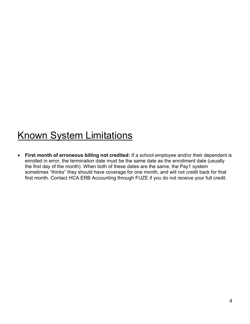### Known System Limitations

• **First month of erroneous billing not credited:** If a school employee and/or their dependent is enrolled in error, the termination date must be the same date as the enrollment date (usually the first day of the month). When both of these dates are the same, the Pay1 system sometimes "thinks" they should have coverage for one month, and will not credit back for that first month. Contact HCA ERB Accounting through FUZE if you do not receive your full credit.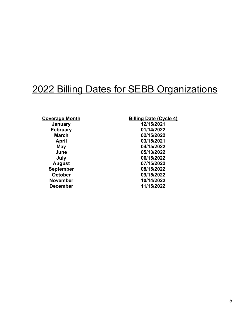### 2022 Billing Dates for SEBB Organizations

**February**<br>**March September**<br>**October November** 

**Coverage Month**<br> **Billing Date (Cycle 4)**<br> **Billing Date (Cycle 4)**<br> **Billing Date (Cycle 4) January 12/15/2021 March 02/15/2022 April 03/15/2021 May 04/15/2022 June 05/13/2022 July 06/15/2022 August 07/15/2022 October 09/15/2022 December 11/15/2022**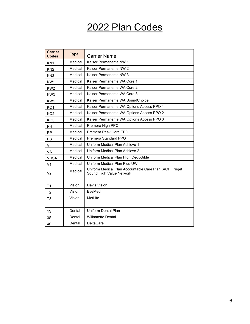### 2022 Plan Codes

| <b>Carrier</b><br><b>Codes</b> | <b>Type</b> | <b>Carrier Name</b>                                                                |  |  |  |  |  |  |
|--------------------------------|-------------|------------------------------------------------------------------------------------|--|--|--|--|--|--|
| KN <sub>1</sub>                | Medical     | Kaiser Permanente NW 1                                                             |  |  |  |  |  |  |
| KN <sub>2</sub>                | Medical     | Kaiser Permanente NW 2                                                             |  |  |  |  |  |  |
| KN <sub>3</sub>                | Medical     | Kaiser Permanente NW 3                                                             |  |  |  |  |  |  |
| KW1                            | Medical     | Kaiser Permanente WA Core 1                                                        |  |  |  |  |  |  |
| KW <sub>2</sub>                | Medical     | Kaiser Permanente WA Core 2                                                        |  |  |  |  |  |  |
| KW <sub>3</sub>                | Medical     | Kaiser Permanente WA Core 3                                                        |  |  |  |  |  |  |
| <b>KWS</b>                     | Medical     | Kaiser Permanente WA SoundChoice                                                   |  |  |  |  |  |  |
| KO <sub>1</sub>                | Medical     | Kaiser Permanente WA Options Access PPO 1                                          |  |  |  |  |  |  |
| KO <sub>2</sub>                | Medical     | Kaiser Permanente WA Options Access PPO 2                                          |  |  |  |  |  |  |
| KO <sub>3</sub>                | Medical     | Kaiser Permanente WA Options Access PPO 3                                          |  |  |  |  |  |  |
| PH                             | Medical     | Premera High PPO                                                                   |  |  |  |  |  |  |
| <b>PP</b>                      | Medical     | Premera Peak Care EPO                                                              |  |  |  |  |  |  |
| <b>PS</b>                      | Medical     | Premera Standard PPO                                                               |  |  |  |  |  |  |
| V                              | Medical     | Uniform Medical Plan Achieve 1                                                     |  |  |  |  |  |  |
| <b>VA</b>                      | Medical     | Uniform Medical Plan Achieve 2                                                     |  |  |  |  |  |  |
| <b>VHSA</b>                    | Medical     | Uniform Medical Plan High Deductible                                               |  |  |  |  |  |  |
| V <sub>1</sub>                 | Medical     | Uniform Medical Plan Plus-UW                                                       |  |  |  |  |  |  |
| V <sub>2</sub>                 | Medical     | Uniform Medical Plan Accountable Care Plan (ACP) Puget<br>Sound High Value Network |  |  |  |  |  |  |
|                                |             |                                                                                    |  |  |  |  |  |  |
| T <sub>1</sub>                 | Vision      | Davis Vision                                                                       |  |  |  |  |  |  |
| T <sub>2</sub>                 | Vision      | EyeMed                                                                             |  |  |  |  |  |  |
| T <sub>3</sub>                 | Vision      | MetLife                                                                            |  |  |  |  |  |  |
|                                |             |                                                                                    |  |  |  |  |  |  |
| 1S                             | Dental      | Uniform Dental Plan                                                                |  |  |  |  |  |  |
| 3S                             | Dental      | <b>Willamette Dental</b>                                                           |  |  |  |  |  |  |
| 4S                             | Dental      | <b>DeltaCare</b>                                                                   |  |  |  |  |  |  |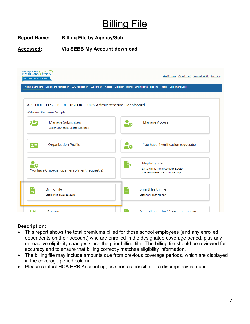### **Billing File**

### **Report Name: Billing File by Agency/Sub**

#### **Accessed: Via SEBB My Account download**



#### **Description:**

- This report shows the total premiums billed for those school employees (and any enrolled dependents on their account) who are enrolled in the designated coverage period, plus any retroactive eligibility changes since the prior billing file. The billing file should be reviewed for accuracy and to ensure that billing correctly matches eligibility information.
- The billing file may include amounts due from previous coverage periods, which are displayed in the coverage period column.
- Please contact HCA ERB Accounting, as soon as possible, if a discrepancy is found.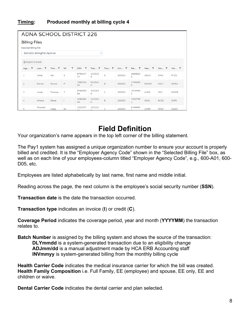### **Timing: Produced monthly at billing cycle 4**

| <b>ADNA SCHOOL DISTRICT 226</b>                            |                      |         |         |                 |                    |              |              |                           |              |             |             |
|------------------------------------------------------------|----------------------|---------|---------|-----------------|--------------------|--------------|--------------|---------------------------|--------------|-------------|-------------|
|                                                            | <b>Billing Files</b> |         |         |                 |                    |              |              |                           |              |             |             |
| Selected Billing File                                      |                      |         |         |                 |                    |              |              |                           |              |             |             |
| 600 D02-BillingFile-April.txt<br>$\boldsymbol{\mathrm{v}}$ |                      |         |         |                 |                    |              |              |                           |              |             |             |
|                                                            |                      |         |         |                 |                    |              |              |                           |              |             |             |
|                                                            | X Export to Excel    |         |         |                 |                    |              |              |                           |              |             |             |
| Age T                                                      | Last T               | First T | ۳<br>MI | <b>SSN</b><br>▼ | Tran $\top$        | Tran $\top$  | $Cov$ $\top$ | Bat T                     | Hea <b>T</b> | Den T       | Visi $\top$ |
| $\mathbf{1}$                                               | Corey                | Ixer    | S       | 8794317<br>77   | 12/20/2<br>$\circ$ | 0            | 202001       | 2694602<br>0              | ONLH         | ATAC        | <b>RTZD</b> |
| $\overline{c}$                                             | Bianka               | Rannie  | P       | 7668754<br>05   | 03/05/2<br>$\circ$ | 8            | 202001       | 3754060<br>$\circ$        | MHAW         | AGLF        | <b>MXRU</b> |
| 3                                                          | Laney                | Twomey  | $\top$  | 8762625<br>64   | 10/12/2<br>$\circ$ | $\mathbf{1}$ | 202001       | 1414466<br>$\overline{2}$ | LUAD         | IGFL        | NDWE        |
| 4                                                          | Athene               | Mewe    |         | 3285384<br>49   | 12/19/2<br>$\circ$ | 8            | 202001       | 7252798<br>$\overline{a}$ | QIQA         | <b>BCSO</b> | <b>SXRX</b> |
| 5                                                          | Elisabett            | Clapp   | M       | 1521677         | 10/22/2            |              | 202001       | 6194995                   | ZJHM         | ZRQT        | GQZO        |

### **Field Definition**

Your organization's name appears in the top left corner of the billing statement.

The Pay1 system has assigned a unique organization number to ensure your account is properly billed and credited. It is the "Employer Agency Code" shown in the "Selected Billing File" box, as well as on each line of your employees-column titled "Employer Agency Code", e.g., 600-A01, 600- D05, etc.

Employees are listed alphabetically by last name, first name and middle initial.

Reading across the page, the next column is the employee's social security number (**SSN**).

**Transaction date** is the date the transaction occurred.

**Transaction type** indicates an invoice (**I**) or credit (**C**).

**Coverage Period** indicates the coverage period, year and month (**YYYYMM**) the transaction relates to.

**Batch Number** is assigned by the billing system and shows the source of the transaction: **DLYmmdd** is a system-generated transaction due to an eligibility change **ADJmm/dd** is a manual adjustment made by HCA ERB Accounting staff **INVmmyy** is system-generated billing from the monthly billing cycle

**Health Carrier Code** indicates the medical insurance carrier for which the bill was created. **Health Family Composition** i.e. Full Family, EE (employee) and spouse, EE only, EE and children or waive.

**Dental Carrier Code** indicates the dental carrier and plan selected.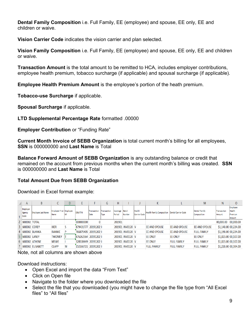**Dental Family Composition** i.e. Full Family, EE (employee) and spouse, EE only, EE and children or waive.

**Vision Carrier Code** indicates the vision carrier and plan selected.

**Vision Family Composition** i.e. Full Family, EE (employee) and spouse, EE only, EE and children or waive.

**Transaction Amount** is the total amount to be remitted to HCA, includes employer contributions, employee health premium, tobacco surcharge (if applicable) and spousal surcharge (if applicable).

**Employee Health Premium Amount** is the employee's portion of the heath premium.

**Tobacco-use Surcharge** if applicable.

**Spousal Surcharge** if applicable.

**LTD Supplemental Percentage Rate** formatted .00000

**Employer Contribution** or "Funding Rate"

**Current Month Invoice of SEBB Organization** is total current month's billing for all employees, **SSN** is 000000000 and **Last Name** is Total

**Balance Forward Amount of SEBB Organization** is any outstanding balance or credit that remained on the account from previous months when the current month's billing was created. **SSN** is 000000000 and **Last Name** is Total

#### **Total Amount Due from SEBB Organization**

Download in Excel format example:

|   | A                          | B                         |                                 |     |                    |                            | G                   | Н                        |                  |                               | К                                |                            | M                                   | N                            | $\circ$                                        |
|---|----------------------------|---------------------------|---------------------------------|-----|--------------------|----------------------------|---------------------|--------------------------|------------------|-------------------------------|----------------------------------|----------------------------|-------------------------------------|------------------------------|------------------------------------------------|
|   | Employer<br>Agency<br>Code | <b>Employee Last Name</b> | Employee First Employee<br>Name | lмı | SSN/ITIN           | <b>Transaction</b><br>Date | Transaction<br>Type | Coverage Batch<br>Period | Number           | <b>Health</b><br>Carrier Code | <b>Health Family Composition</b> | <b>Dental Carrier Code</b> | <b>Dental Family</b><br>Composition | <b>Transaction</b><br>Amount | Employee<br><b>Health</b><br>Premium<br>Amount |
|   | $600D02$ TOTAL             |                           |                                 |     | 000000000          |                            |                     | 201901                   |                  |                               |                                  |                            |                                     | 00,000.00                    | 00,000,00                                      |
|   | 3 600D02 COREY             |                           | <b>IXER</b>                     |     | 879431777 20191202 |                            |                     |                          | 201901 INV0120 V |                               | EE AND SPOUSE                    | EE AND SPOUSE              | EE AND SPOUSE                       |                              | \$1,140.00 00,224.00                           |
|   |                            | 4 600D02 BLANKA           | <b>RANNIE</b>                   |     | 766875405 20191202 |                            |                     |                          | 201901 INV0120 V |                               | EE AND SPOUSE                    | EE AND SPOUSE              | <b>FULL FAMILY</b>                  |                              | \$1,190.00 00,224.00                           |
|   | <b>600D02 LANEY</b>        |                           | <b>TWOMEY</b>                   |     | 876262564 20191202 |                            |                     |                          | 201901 INV0120 V |                               | <b>EE ONLY</b>                   | EE ONLY                    | <b>EE ONLY</b>                      |                              | \$1,023.00 00,107.00                           |
| 6 |                            | 600D02 ATHENE             | <b>MEWE</b>                     |     | 328538449 20191202 |                            |                     |                          | 201901 INV0120 V |                               | <b>EE ONLY</b>                   | <b>FULL FAMILY</b>         | <b>FULL FAMILY</b>                  |                              | \$1,023.00 00,107.00                           |
|   |                            | 600D02 ELISABETT          | <b>CLAPP</b>                    | М   | 152166721 20191202 |                            |                     |                          | 201901 INV0120 V |                               | <b>FULL FAMILY</b>               | <b>FULL FAMILY</b>         | <b>FULL FAMILY</b>                  |                              | \$1,220.00 00,304.00                           |

Note, not all columns are shown above

Download instructions:

- Open Excel and import the data "From Text"
- Click on Open file
- Navigate to the folder where you downloaded the file
- Select the file that you downloaded (you might have to change the file type from "All Excel files" to "All files"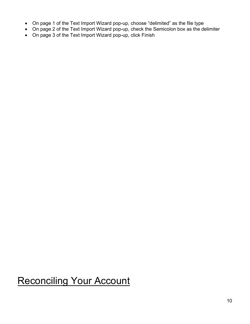- On page 1 of the Text Import Wizard pop-up, choose "delimited" as the file type
- On page 2 of the Text Import Wizard pop-up, check the Semicolon box as the delimiter
- On page 3 of the Text Import Wizard pop-up, click Finish

### Reconciling Your Account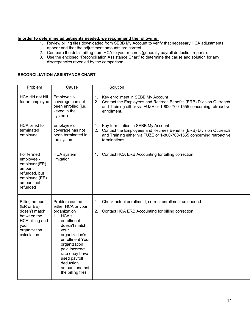#### **In order to determine adjustments needed, we recommend the following:**

- 1. Review billing files downloaded from SEBB My Account to verify that necessary HCA adjustments appear and that the adjustment amounts are correct.
- 2. Compare the detail billing from HCA to your records (generally payroll deduction reports).
- 3. Use the enclosed "Reconciliation Assistance Chart" to determine the cause and solution for any discrepancies revealed by the comparison.

#### **RECONCILIATION ASSISTANCE CHART**

| Problem                                                                                                                       | Cause                                                                                                                                                                                                                                                                | Solution                                                                                                                                                                                                       |
|-------------------------------------------------------------------------------------------------------------------------------|----------------------------------------------------------------------------------------------------------------------------------------------------------------------------------------------------------------------------------------------------------------------|----------------------------------------------------------------------------------------------------------------------------------------------------------------------------------------------------------------|
| HCA did not bill<br>for an employee                                                                                           | Employee's<br>coverage has not<br>been enrolled (i.e.,<br>keyed in the<br>system)                                                                                                                                                                                    | Key enrollment in SEBB My Account<br>1.<br>2.<br>Contact the Employees and Retirees Benefits (ERB) Division Outreach<br>and Training either via FUZE or 1-800-700-1555 concerning retroactive<br>enrollment.   |
| <b>HCA billed for</b><br>terminated<br>employee                                                                               | Employee's<br>coverage has not<br>been terminated in<br>the system                                                                                                                                                                                                   | Key termination in SEBB My Account<br>1.<br>Contact the Employees and Retirees Benefits (ERB) Division Outreach<br>2.<br>and Training either via FUZE or 1-800-700-1555 concerning retroactive<br>terminations |
| For termed<br>employee -<br>employer (ER)<br>amount<br>refunded, but<br>employee (EE)<br>amount not<br>refunded               | <b>HCA</b> system<br>limitation                                                                                                                                                                                                                                      | Contact HCA ERB Accounting for billing correction<br>1.                                                                                                                                                        |
| <b>Billing amount</b><br>(ER or EE)<br>doesn't match<br>between the<br>HCA billing and<br>your<br>organization<br>calculation | Problem can be<br>either HCA or your<br>organization<br>1. HCA's<br>enrollment<br>doesn't match<br>your<br>organization's<br>enrollment Your<br>organization<br>paid incorrect<br>rate (may have<br>used payroll<br>deduction<br>amount and not<br>the billing file) | Check actual enrollment; correct enrollment as needed<br>1.<br>2.<br>Contact HCA ERB Accounting for billing correction                                                                                         |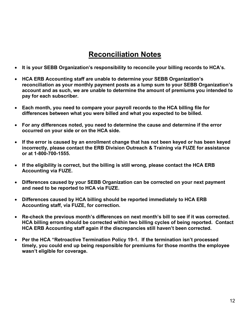### **Reconciliation Notes**

- **It is your SEBB Organization's responsibility to reconcile your billing records to HCA's.**
- **HCA ERB Accounting staff are unable to determine your SEBB Organization's reconciliation as your monthly payment posts as a lump sum to your SEBB Organization's account and as such, we are unable to determine the amount of premiums you intended to pay for each subscriber.**
- **Each month, you need to compare your payroll records to the HCA billing file for differences between what you were billed and what you expected to be billed.**
- **For any differences noted, you need to determine the cause and determine if the error occurred on your side or on the HCA side.**
- **If the error is caused by an enrollment change that has not been keyed or has been keyed incorrectly, please contact the ERB Division Outreach & Training via FUZE for assistance or at 1-800-700-1555.**
- **If the eligibility is correct, but the billing is still wrong, please contact the HCA ERB Accounting via FUZE.**
- **Differences caused by your SEBB Organization can be corrected on your next payment and need to be reported to HCA via FUZE.**
- **Differences caused by HCA billing should be reported immediately to HCA ERB Accounting staff, via FUZE, for correction.**
- **Re-check the previous month's differences on next month's bill to see if it was corrected. HCA billing errors should be corrected within two billing cycles of being reported. Contact HCA ERB Accounting staff again if the discrepancies still haven't been corrected.**
- **Per the HCA "Retroactive Termination Policy 19-1. If the termination isn't processed timely, you could end up being responsible for premiums for those months the employee wasn't eligible for coverage.**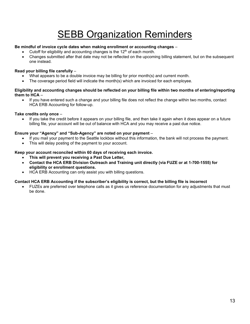### SEBB Organization Reminders

#### **Be mindful of invoice cycle dates when making enrollment or accounting changes** –

- Cutoff for eligibility and accounting changes is the 12<sup>th</sup> of each month.
- Changes submitted after that date may not be reflected on the upcoming billing statement, but on the subsequent one instead.

#### **Read your billing file carefully** –

- What appears to be a double invoice may be billing for prior month(s) and current month.
- The coverage period field will indicate the month(s) which are invoiced for each employee.

#### **Eligibility and accounting changes should be reflected on your billing file within two months of entering/reporting them to HCA** –

• If you have entered such a change and your billing file does not reflect the change within two months, contact HCA ERB Accounting for follow-up.

#### **Take credits only once** –

• If you take the credit before it appears on your billing file, and then take it again when it does appear on a future billing file, your account will be out of balance with HCA and you may receive a past due notice.

#### **Ensure your "Agency" and "Sub-Agency" are noted on your payment** –

- If you mail your payment to the Seattle lockbox without this information, the bank will not process the payment.
- This will delay posting of the payment to your account.

#### **Keep your account reconciled within 60 days of receiving each invoice.**

- **This will prevent you receiving a Past Due Letter,**
- **Contact the HCA ERB Division Outreach and Training unit directly (via FUZE or at 1-700-1555) for eligibility or enrollment questions.**
- HCA ERB Accounting can only assist you with billing questions.

#### **Contact HCA ERB Accounting if the subscriber's eligibility is correct, but the billing file is incorrect**

• FUZEs are preferred over telephone calls as it gives us reference documentation for any adjustments that must be done.